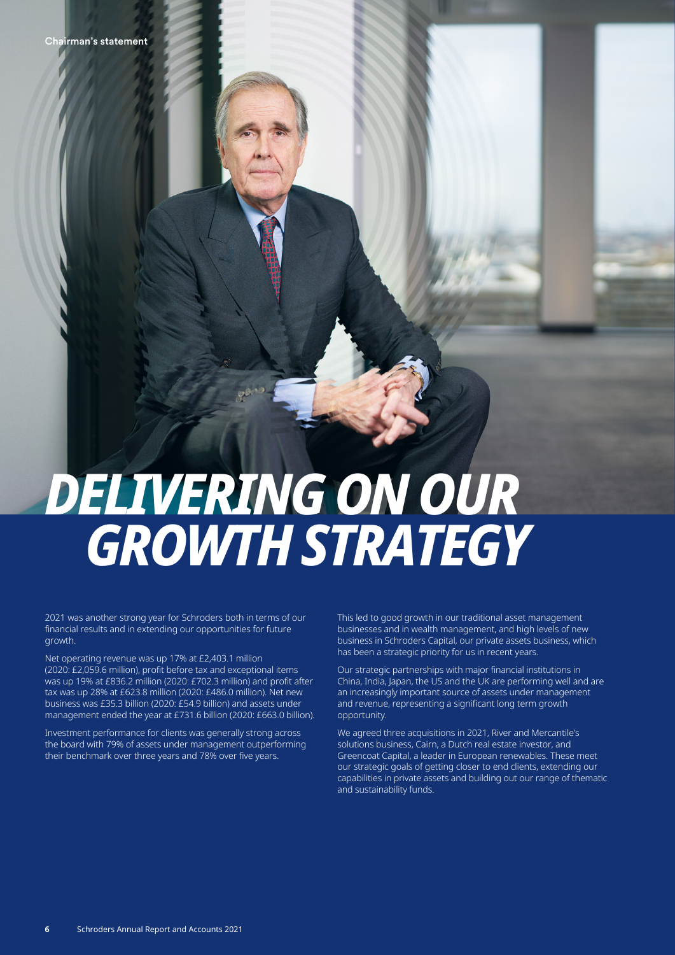# *DELIVERING ON OUR GROWTH STRATEGY*

2021 was another strong year for Schroders both in terms of our financial results and in extending our opportunities for future growth.

Net operating revenue was up 17% at £2,403.1 million (2020: £2,059.6 million), profit before tax and exceptional items was up 19% at £836.2 million (2020: £702.3 million) and profit after tax was up 28% at £623.8 million (2020: £486.0 million). Net new business was £35.3 billion (2020: £54.9 billion) and assets under management ended the year at £731.6 billion (2020: £663.0 billion).

Investment performance for clients was generally strong across the board with 79% of assets under management outperforming their benchmark over three years and 78% over five years.

This led to good growth in our traditional asset management businesses and in wealth management, and high levels of new business in Schroders Capital, our private assets business, which has been a strategic priority for us in recent years.

Our strategic partnerships with major financial institutions in China, India, Japan, the US and the UK are performing well and are an increasingly important source of assets under management and revenue, representing a significant long term growth opportunity.

We agreed three acquisitions in 2021, River and Mercantile's solutions business, Cairn, a Dutch real estate investor, and Greencoat Capital, a leader in European renewables. These meet our strategic goals of getting closer to end clients, extending our capabilities in private assets and building out our range of thematic and sustainability funds.